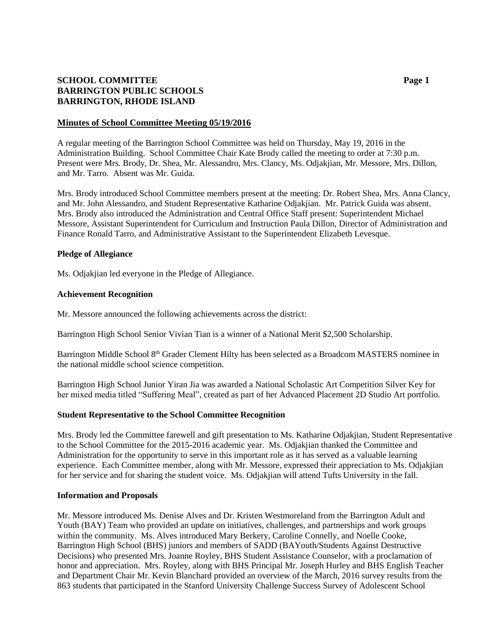# **SCHOOL COMMITTEE Page 1 BARRINGTON PUBLIC SCHOOLS BARRINGTON, RHODE ISLAND**

#### **Minutes of School Committee Meeting 05/19/2016**

A regular meeting of the Barrington School Committee was held on Thursday, May 19, 2016 in the Administration Building. School Committee Chair Kate Brody called the meeting to order at 7:30 p.m. Present were Mrs. Brody, Dr. Shea, Mr. Alessandro, Mrs. Clancy, Ms. Odjakjian, Mr. Messore, Mrs. Dillon, and Mr. Tarro. Absent was Mr. Guida.

Mrs. Brody introduced School Committee members present at the meeting: Dr. Robert Shea, Mrs. Anna Clancy, and Mr. John Alessandro, and Student Representative Katharine Odjakjian. Mr. Patrick Guida was absent. Mrs. Brody also introduced the Administration and Central Office Staff present: Superintendent Michael Messore, Assistant Superintendent for Curriculum and Instruction Paula Dillon, Director of Administration and Finance Ronald Tarro, and Administrative Assistant to the Superintendent Elizabeth Levesque.

### **Pledge of Allegiance**

Ms. Odjakjian led everyone in the Pledge of Allegiance.

#### **Achievement Recognition**

Mr. Messore announced the following achievements across the district:

Barrington High School Senior Vivian Tian is a winner of a National Merit \$2,500 Scholarship.

Barrington Middle School 8<sup>th</sup> Grader Clement Hilty has been selected as a Broadcom MASTERS nominee in the national middle school science competition.

Barrington High School Junior Yiran Jia was awarded a National Scholastic Art Competition Silver Key for her mixed media titled "Suffering Meal", created as part of her Advanced Placement 2D Studio Art portfolio.

#### **Student Representative to the School Committee Recognition**

Mrs. Brody led the Committee farewell and gift presentation to Ms. Katharine Odjakjian, Student Representative to the School Committee for the 2015-2016 academic year. Ms. Odjakjian thanked the Committee and Administration for the opportunity to serve in this important role as it has served as a valuable learning experience. Each Committee member, along with Mr. Messore, expressed their appreciation to Ms. Odjakjian for her service and for sharing the student voice. Ms. Odjakjian will attend Tufts University in the fall.

#### **Information and Proposals**

Mr. Messore introduced Ms. Denise Alves and Dr. Kristen Westmoreland from the Barrington Adult and Youth (BAY) Team who provided an update on initiatives, challenges, and partnerships and work groups within the community. Ms. Alves introduced Mary Berkery, Caroline Connelly, and Noelle Cooke, Barrington High School (BHS) juniors and members of SADD (BAYouth/Students Against Destructive Decisions) who presented Mrs. Joanne Royley, BHS Student Assistance Counselor, with a proclamation of honor and appreciation. Mrs. Royley, along with BHS Principal Mr. Joseph Hurley and BHS English Teacher and Department Chair Mr. Kevin Blanchard provided an overview of the March, 2016 survey results from the 863 students that participated in the Stanford University Challenge Success Survey of Adolescent School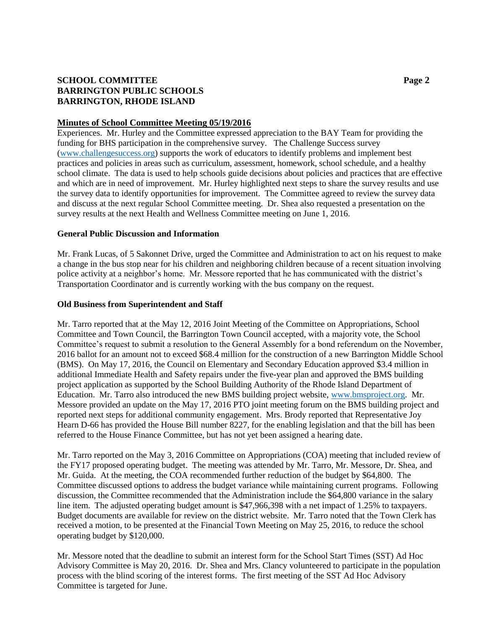# **SCHOOL COMMITTEE Page 2 BARRINGTON PUBLIC SCHOOLS BARRINGTON, RHODE ISLAND**

### **Minutes of School Committee Meeting 05/19/2016**

Experiences. Mr. Hurley and the Committee expressed appreciation to the BAY Team for providing the funding for BHS participation in the comprehensive survey. The Challenge Success survey [\(www.challengesuccess.org\)](http://www.challengesuccess.org/) supports the work of educators to identify problems and implement best practices and policies in areas such as curriculum, assessment, homework, school schedule, and a healthy school climate. The data is used to help schools guide decisions about policies and practices that are effective and which are in need of improvement. Mr. Hurley highlighted next steps to share the survey results and use the survey data to identify opportunities for improvement. The Committee agreed to review the survey data and discuss at the next regular School Committee meeting. Dr. Shea also requested a presentation on the survey results at the next Health and Wellness Committee meeting on June 1, 2016.

## **General Public Discussion and Information**

Mr. Frank Lucas, of 5 Sakonnet Drive, urged the Committee and Administration to act on his request to make a change in the bus stop near for his children and neighboring children because of a recent situation involving police activity at a neighbor's home. Mr. Messore reported that he has communicated with the district's Transportation Coordinator and is currently working with the bus company on the request.

### **Old Business from Superintendent and Staff**

Mr. Tarro reported that at the May 12, 2016 Joint Meeting of the Committee on Appropriations, School Committee and Town Council, the Barrington Town Council accepted, with a majority vote, the School Committee's request to submit a resolution to the General Assembly for a bond referendum on the November, 2016 ballot for an amount not to exceed \$68.4 million for the construction of a new Barrington Middle School (BMS). On May 17, 2016, the Council on Elementary and Secondary Education approved \$3.4 million in additional Immediate Health and Safety repairs under the five-year plan and approved the BMS building project application as supported by the School Building Authority of the Rhode Island Department of Education. Mr. Tarro also introduced the new BMS building project website, [www.bmsproject.org.](http://www.bmsproject.org/) Mr. Messore provided an update on the May 17, 2016 PTO joint meeting forum on the BMS building project and reported next steps for additional community engagement. Mrs. Brody reported that Representative Joy Hearn D-66 has provided the House Bill number 8227, for the enabling legislation and that the bill has been referred to the House Finance Committee, but has not yet been assigned a hearing date.

Mr. Tarro reported on the May 3, 2016 Committee on Appropriations (COA) meeting that included review of the FY17 proposed operating budget. The meeting was attended by Mr. Tarro, Mr. Messore, Dr. Shea, and Mr. Guida. At the meeting, the COA recommended further reduction of the budget by \$64,800. The Committee discussed options to address the budget variance while maintaining current programs. Following discussion, the Committee recommended that the Administration include the \$64,800 variance in the salary line item. The adjusted operating budget amount is \$47,966,398 with a net impact of 1.25% to taxpayers. Budget documents are available for review on the district website. Mr. Tarro noted that the Town Clerk has received a motion, to be presented at the Financial Town Meeting on May 25, 2016, to reduce the school operating budget by \$120,000.

Mr. Messore noted that the deadline to submit an interest form for the School Start Times (SST) Ad Hoc Advisory Committee is May 20, 2016. Dr. Shea and Mrs. Clancy volunteered to participate in the population process with the blind scoring of the interest forms. The first meeting of the SST Ad Hoc Advisory Committee is targeted for June.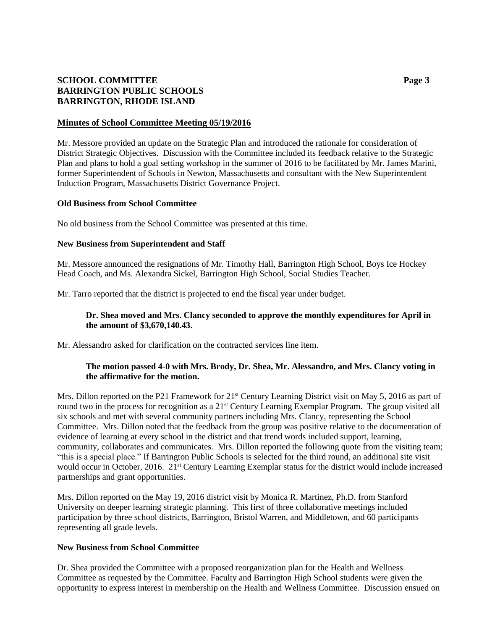# **SCHOOL COMMITTEE Page 3 BARRINGTON PUBLIC SCHOOLS BARRINGTON, RHODE ISLAND**

### **Minutes of School Committee Meeting 05/19/2016**

Mr. Messore provided an update on the Strategic Plan and introduced the rationale for consideration of District Strategic Objectives. Discussion with the Committee included its feedback relative to the Strategic Plan and plans to hold a goal setting workshop in the summer of 2016 to be facilitated by Mr. James Marini, former Superintendent of Schools in Newton, Massachusetts and consultant with the New Superintendent Induction Program, Massachusetts District Governance Project.

### **Old Business from School Committee**

No old business from the School Committee was presented at this time.

### **New Business from Superintendent and Staff**

Mr. Messore announced the resignations of Mr. Timothy Hall, Barrington High School, Boys Ice Hockey Head Coach, and Ms. Alexandra Sickel, Barrington High School, Social Studies Teacher.

Mr. Tarro reported that the district is projected to end the fiscal year under budget.

## **Dr. Shea moved and Mrs. Clancy seconded to approve the monthly expenditures for April in the amount of \$3,670,140.43.**

Mr. Alessandro asked for clarification on the contracted services line item.

## **The motion passed 4-0 with Mrs. Brody, Dr. Shea, Mr. Alessandro, and Mrs. Clancy voting in the affirmative for the motion.**

Mrs. Dillon reported on the P21 Framework for  $21<sup>st</sup>$  Century Learning District visit on May 5, 2016 as part of round two in the process for recognition as a 21<sup>st</sup> Century Learning Exemplar Program. The group visited all six schools and met with several community partners including Mrs. Clancy, representing the School Committee. Mrs. Dillon noted that the feedback from the group was positive relative to the documentation of evidence of learning at every school in the district and that trend words included support, learning, community, collaborates and communicates. Mrs. Dillon reported the following quote from the visiting team; "this is a special place." If Barrington Public Schools is selected for the third round, an additional site visit would occur in October, 2016. 21<sup>st</sup> Century Learning Exemplar status for the district would include increased partnerships and grant opportunities.

Mrs. Dillon reported on the May 19, 2016 district visit by Monica R. Martinez, Ph.D. from Stanford University on deeper learning strategic planning. This first of three collaborative meetings included participation by three school districts, Barrington, Bristol Warren, and Middletown, and 60 participants representing all grade levels.

#### **New Business from School Committee**

Dr. Shea provided the Committee with a proposed reorganization plan for the Health and Wellness Committee as requested by the Committee. Faculty and Barrington High School students were given the opportunity to express interest in membership on the Health and Wellness Committee. Discussion ensued on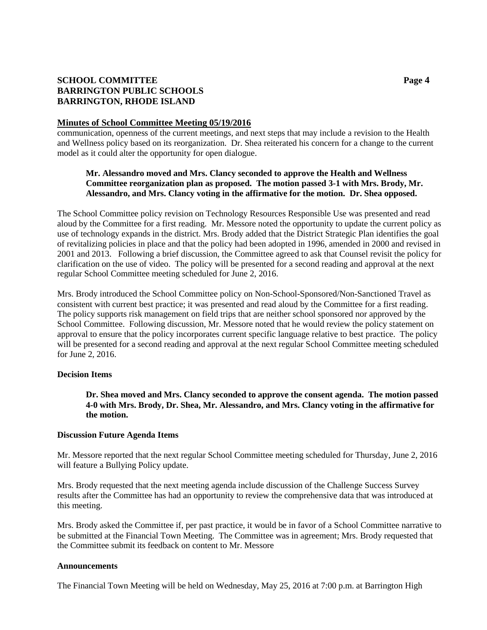# **SCHOOL COMMITTEE Page 4 BARRINGTON PUBLIC SCHOOLS BARRINGTON, RHODE ISLAND**

#### **Minutes of School Committee Meeting 05/19/2016**

communication, openness of the current meetings, and next steps that may include a revision to the Health and Wellness policy based on its reorganization. Dr. Shea reiterated his concern for a change to the current model as it could alter the opportunity for open dialogue.

## **Mr. Alessandro moved and Mrs. Clancy seconded to approve the Health and Wellness Committee reorganization plan as proposed. The motion passed 3-1 with Mrs. Brody, Mr. Alessandro, and Mrs. Clancy voting in the affirmative for the motion. Dr. Shea opposed.**

The School Committee policy revision on Technology Resources Responsible Use was presented and read aloud by the Committee for a first reading. Mr. Messore noted the opportunity to update the current policy as use of technology expands in the district. Mrs. Brody added that the District Strategic Plan identifies the goal of revitalizing policies in place and that the policy had been adopted in 1996, amended in 2000 and revised in 2001 and 2013. Following a brief discussion, the Committee agreed to ask that Counsel revisit the policy for clarification on the use of video. The policy will be presented for a second reading and approval at the next regular School Committee meeting scheduled for June 2, 2016.

Mrs. Brody introduced the School Committee policy on Non-School-Sponsored/Non-Sanctioned Travel as consistent with current best practice; it was presented and read aloud by the Committee for a first reading. The policy supports risk management on field trips that are neither school sponsored nor approved by the School Committee. Following discussion, Mr. Messore noted that he would review the policy statement on approval to ensure that the policy incorporates current specific language relative to best practice. The policy will be presented for a second reading and approval at the next regular School Committee meeting scheduled for June 2, 2016.

## **Decision Items**

## **Dr. Shea moved and Mrs. Clancy seconded to approve the consent agenda. The motion passed 4-0 with Mrs. Brody, Dr. Shea, Mr. Alessandro, and Mrs. Clancy voting in the affirmative for the motion.**

#### **Discussion Future Agenda Items**

Mr. Messore reported that the next regular School Committee meeting scheduled for Thursday, June 2, 2016 will feature a Bullying Policy update.

Mrs. Brody requested that the next meeting agenda include discussion of the Challenge Success Survey results after the Committee has had an opportunity to review the comprehensive data that was introduced at this meeting.

Mrs. Brody asked the Committee if, per past practice, it would be in favor of a School Committee narrative to be submitted at the Financial Town Meeting. The Committee was in agreement; Mrs. Brody requested that the Committee submit its feedback on content to Mr. Messore

#### **Announcements**

The Financial Town Meeting will be held on Wednesday, May 25, 2016 at 7:00 p.m. at Barrington High